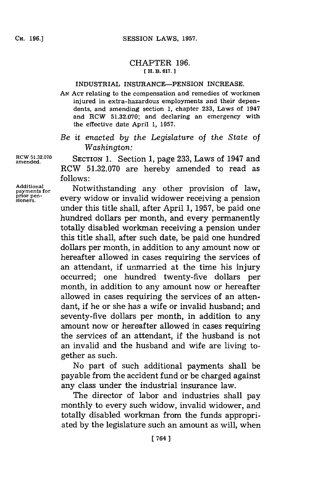## CHAPTER **196. [ H. B. 617.]1**

## INDUSTRIAL INSURANCE-PENSION **INCREASE.**

**AN ACT** relating to the compensation and remedies of workmen injured in extra-hazardous employments and their dependents, and amending section **1,** chapter **233,** Laws of 1947 and RCW **51.32.070;** and declaring an emergency with the effective date April **1, 1957.**

*Be it enacted by the Legislature of the State of Washington:*

RCW 51.32.070 **SECTION 1.** Section 1, page 233, Laws of 1947 and RCW **51.32.070** are hereby amended to read as **follows:**

Additional **Properties is a contract to a set of the set of law** payments for **a** Notwithstanding any other provision of law **payments for** Notwithstanding any other provision of law,<br>payments for every widow or invalid widower receiving a pension under this title shall, after April **1, 1957,** be paid one hundred dollars per month, and every permanently totally disabled workman receiving a pension under this title shall, after such date, be paid one hundred dollars per month, in addition to any amount now or hereafter allowed in cases requiring the services of an attendant, if unmarried at the time his injury occurred; one hundred twenty-five dollars per month, in addition to any amount now or hereafter allowed in cases requiring the services of an attendant, if he or she has a wife or invalid husband; and seventy-five dollars per month, in addition to any amount now or hereafter allowed in cases requiring the services of an attendant, if the husband is not an invalid and the husband and wife are living together as such.

> No part of such additional payments shall be payable from the accident fund or be charged against any class under the industrial insurance law.

> The director of labor and industries shall pay monthly to every such widow, invalid widower, and totally disabled workman from the funds appropriated **by** the legislature such an amount as will, when